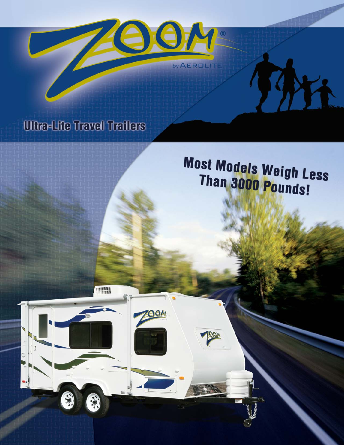

# **Ultra-Lite Travel Trailers**

**ANNIBARY** 

**00M** 

# **Most Models Weigh Less** Than 3000 Pounds!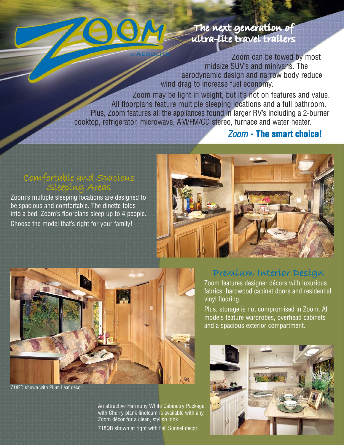

#### The next generation of ultra-lite travel trailers

Zoom can be towed by most midsize SUV's and minivans. The aerodynamic design and narrow body reduce wind drag to increase fuel economy.

Zoom may be light in weight, but it's not on features and value. All floorplans feature multiple sleeping locations and a full bathroom. Plus, Zoom features all the appliances found in larger RV's including a 2-burner cooktop, refrigerator, microwave, AM/FM/CD stereo, furnace and water heater.

#### Zoom **- The smart choice!**

#### Comfortable and Spacious Sleeping Areas

Zoom's multiple sleeping locations are designed to be spacious and comfortable. The dinette folds into a bed. Zoom's floorplans sleep up to 4 people. Choose the model that's right for your family!





718FD shown with Plum Leaf décor

An attractive Harmony White Cabinetry Package with Cherry plank linoleum is available with any Zoom décor for a clean, stylish look.

718QB shown at right with Fall Sunset décor.

### Premium Interior Design

Zoom features designer décors with luxurious fabrics, hardwood cabinet doors and residential vinyl flooring.

Plus, storage is not compromised in Zoom. All models feature wardrobes, overhead cabinets and a spacious exterior compartment.

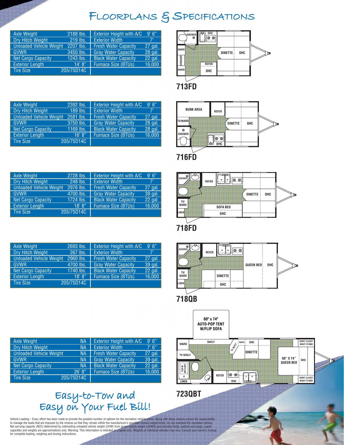## FLOORPLANS & SPECIFICATIONS

| Axle Weight                    | 2188 lbs.  | Exterior Height with A/C    | 9'6''   |
|--------------------------------|------------|-----------------------------|---------|
| Dry Hitch Weight               | 219 lbs.   | <b>Exterior Width</b>       | 7'      |
| <b>Unloaded Vehicle Weight</b> | 2207 lbs.  | <b>Fresh Water Capacity</b> | 27 gal. |
| <b>GVWR</b>                    | 3450 lbs.  | <b>Gray Water Capacity</b>  | 28 gal. |
| <b>Net Cargo Capacity</b>      | 1243 lbs.  | <b>Black Water Capacity</b> | 22 gal. |
| <b>Exterior Length</b>         | 14' 8''    | <b>Furnace Size (BTUs)</b>  | 16,000  |
| <b>Tire Size</b>               | 205/75D14C |                             |         |
|                                |            |                             |         |



| Axle Weight                    | 2392 lbs.  | <b>Exterior Height with A/C</b> | 9'6''   |
|--------------------------------|------------|---------------------------------|---------|
| Dry Hitch Weight               | 189 lbs.   | <b>Exterior Width</b>           | 7'      |
| <b>Unloaded Vehicle Weight</b> | 2581 lbs.  | <b>Fresh Water Capacity</b>     | 27 gal. |
| <b>GVWR</b>                    | 3750 lbs.  | <b>Gray Water Capacity</b>      | 28 gal. |
| Net Cargo Capacity             | 1169 lbs.  | <b>Black Water Capacity</b>     | 28 gal. |
| <b>Exterior Length</b>         | 16' 8''    | <b>Furnace Size (BTUs)</b>      | 16,000  |
| <b>Tire Size</b>               | 205/75D14C |                                 |         |



**716FD**

| Axle Weight                    | 2728 lbs.  | <b>Exterior Height with A/C</b> | 9'6''       |
|--------------------------------|------------|---------------------------------|-------------|
| Dry Hitch Weight               | 248 lbs.   | <b>Exterior Width</b>           | $7^{\circ}$ |
| <b>Unloaded Vehicle Weight</b> | 2976 lbs.  | <b>Fresh Water Capacity</b>     | 27 gal.     |
| <b>GVWR</b>                    | 4700 lbs.  | <b>Gray Water Capacity</b>      | 39 gal.     |
| Net Cargo Capacity             | 1724 lbs.  | <b>Black Water Capacity</b>     | 22 gal.     |
| <b>Exterior Length</b>         | 18' 8''    | <b>Furnace Size (BTUs)</b>      | 16,000      |
| <b>Tire Size</b>               | 205/75D14C |                                 |             |

| Axle Weight                    | 2693 lbs.  | <b>Exterior Height with A/C</b> | 9'6''   |
|--------------------------------|------------|---------------------------------|---------|
| Dry Hitch Weight               | 267 lbs.   | <b>Exterior Width</b>           | 7'      |
| <b>Unloaded Vehicle Weight</b> | 2960 lbs.  | <b>Fresh Water Capacity</b>     | 27 gal. |
| <b>GVWR</b>                    | 4700 lbs.  | <b>Gray Water Capacity</b>      | 39 gal. |
| <b>Net Cargo Capacity</b>      | 1740 lbs.  | <b>Black Water Capacity</b>     | 22 gal. |
| <b>Exterior Length</b>         | 18' 8''    | <b>Furnace Size (BTUs)</b>      | 16,000  |
| <b>Tire Size</b>               | 205/75D14C |                                 |         |
|                                |            |                                 |         |



**718FD**



#### **718QB**



| Axle Weight                    | 'NA        | Exterior Height with A/C    | 9'6''   |
|--------------------------------|------------|-----------------------------|---------|
| <b>Dry Hitch Weight</b>        | NА         | <b>Exterior Width</b>       | 7'6''   |
| <b>Unloaded Vehicle Weight</b> | <b>NA</b>  | <b>Fresh Water Capacity</b> | 27 gal. |
| <b>GVWR</b>                    | <b>NA</b>  | <b>Gray Water Capacity</b>  | 39 gal. |
| <b>Net Cargo Capacity</b>      | <b>NA</b>  | <b>Black Water Capacity</b> | 22 gal. |
| <b>Exterior Lenath</b>         | 26' 8''    | <b>Furnace Size (BTUs)</b>  | 16,000  |
| <b>Tire Size</b>               | 205/75D14C |                             |         |

## Easy-to-Tow and Easy on Your Fuel Bill!

Vehicle Loading – Every effort has been made to provide the greatest number of options for the recreation vehicle owner. Along with these choices comes the responsibility<br>to manage the loads that are imposed by the choices for complete loading, weighing and towing instructions.

**723QBT**